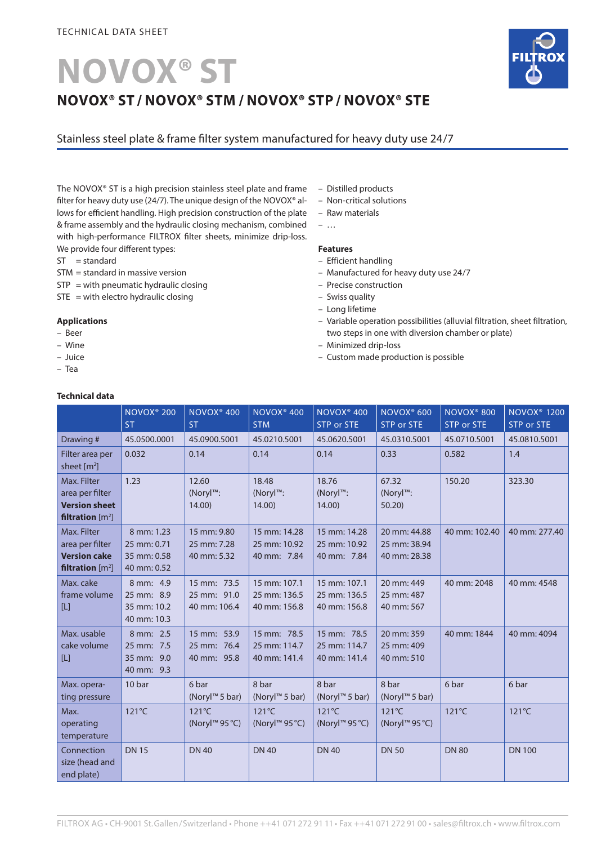# **NOVOX® ST NOVOX® ST / NOVOX® STM / NOVOX® STP / NOVOX® STE**



Stainless steel plate & frame filter system manufactured for heavy duty use 24/7

The NOVOX® ST is a high precision stainless steel plate and frame filter for heavy duty use (24/7). The unique design of the NOVOX® allows for efficient handling. High precision construction of the plate & frame assembly and the hydraulic closing mechanism, combined with high-performance FILTROX filter sheets, minimize drip-loss. We provide four different types:

- $ST = standard$
- STM = standard in massive version
- $STP = with$  pneumatic hydraulic closing
- $STE = with$  electro hydraulic closing

## **Applications**

- Beer
- Wine
- Juice
- Tea

## **Technical data**

- Distilled products
- Non-critical solutions
- Raw materials
- …

## **Features**

- Efficient handling
- Manufactured for heavy duty use 24/7
- Precise construction
- Swiss quality
- Long lifetime
- Variable operation possibilities (alluvial filtration, sheet filtration, two steps in one with diversion chamber or plate)
- Minimized drip-loss
- Custom made production is possible

| ieciliical uata                                                                         |                                                         |                                            |                                              |                                                            |                                              |                                      |                                                    |
|-----------------------------------------------------------------------------------------|---------------------------------------------------------|--------------------------------------------|----------------------------------------------|------------------------------------------------------------|----------------------------------------------|--------------------------------------|----------------------------------------------------|
|                                                                                         | <b>NOVOX<sup>®</sup> 200</b><br><b>ST</b>               | NOVOX <sup>®</sup> 400<br><b>ST</b>        | NOVOX <sup>®</sup> 400<br><b>STM</b>         | NOVOX <sup>®</sup> 400<br><b>STP or STE</b>                | NOVOX <sup>®</sup> 600<br>STP or STE         | NOVOX <sup>®</sup> 800<br>STP or STE | <b>NOVOX<sup>®</sup> 1200</b><br><b>STP or STE</b> |
| Drawing#                                                                                | 45.0500.0001                                            | 45.0900.5001                               | 45.0210.5001                                 | 45.0620.5001                                               | 45.0310.5001                                 | 45.0710.5001                         | 45.0810.5001                                       |
| Filter area per<br>sheet [m <sup>2</sup> ]                                              | 0.032                                                   | 0.14                                       | 0.14                                         | 0.14                                                       | 0.33                                         | 0.582                                | 1.4                                                |
| Max. Filter<br>area per filter<br><b>Version sheet</b><br>filtration $[m^2]$            | 1.23                                                    | 12.60<br>(Noryl™:<br>14.00)                | 18.48<br>(Noryl™:<br>14.00                   | 18.76<br>(Noryl™:<br>14.00                                 | 67.32<br>(Noryl™:<br>50.20                   | 150.20                               | 323.30                                             |
| Max. Filter<br>area per filter<br><b>Version cake</b><br>filtration $\lceil m^2 \rceil$ | 8 mm: 1.23<br>25 mm: 0.71<br>35 mm: 0.58<br>40 mm: 0.52 | 15 mm: 9.80<br>25 mm: 7.28<br>40 mm: 5.32  | 15 mm: 14.28<br>25 mm: 10.92<br>40 mm: 7.84  | 15 mm: 14.28<br>25 mm: 10.92<br>40 mm: 7.84                | 20 mm: 44.88<br>25 mm: 38.94<br>40 mm: 28.38 | 40 mm: 102.40                        | 40 mm: 277.40                                      |
| Max. cake<br>frame volume<br>$[$                                                        | 8 mm: 4.9<br>25 mm: 8.9<br>35 mm: 10.2<br>40 mm: 10.3   | 15 mm: 73.5<br>25 mm: 91.0<br>40 mm: 106.4 | 15 mm: 107.1<br>25 mm: 136.5<br>40 mm: 156.8 | 15 mm: 107.1<br>25 mm: 136.5<br>40 mm: 156.8               | 20 mm: 449<br>25 mm: 487<br>40 mm: 567       | 40 mm: 2048                          | 40 mm: 4548                                        |
| Max. usable<br>cake volume<br>$[{\mathsf L}]$                                           | 8 mm: 2.5<br>25 mm: 7.5<br>35 mm: 9.0<br>40 mm: 9.3     | 15 mm: 53.9<br>25 mm: 76.4<br>40 mm: 95.8  | 15 mm: 78.5<br>25 mm: 114.7<br>40 mm: 141.4  | 15 mm: 78.5<br>25 mm: 114.7<br>40 mm: 141.4                | 20 mm: 359<br>25 mm: 409<br>40 mm: 510       | 40 mm: 1844                          | 40 mm: 4094                                        |
| Max. opera-<br>ting pressure                                                            | 10 bar                                                  | 6 bar<br>(Noryl <sup>™</sup> 5 bar)        | 8 bar<br>(Noryl <sup>™</sup> 5 bar)          | 8 bar<br>(Noryl <sup>™</sup> 5 bar)                        | 8 bar<br>(Noryl <sup>™</sup> 5 bar)          | 6 bar                                | 6 bar                                              |
| Max.<br>operating<br>temperature                                                        | $121^{\circ}$ C                                         | $121^{\circ}$ C<br>(Noryl™ 95 °C)          | 121°C<br>(Noryl™ 95 °C)                      | 121°C<br>(Noryl <sup><math>m</math></sup> 95 $^{\circ}$ C) | $121^{\circ}$ C<br>(Noryl™ 95 °C)            | 121°C                                | $121^{\circ}$ C                                    |
| Connection<br>size (head and<br>end plate)                                              | <b>DN15</b>                                             | <b>DN 40</b>                               | <b>DN 40</b>                                 | <b>DN 40</b>                                               | <b>DN 50</b>                                 | <b>DN 80</b>                         | <b>DN 100</b>                                      |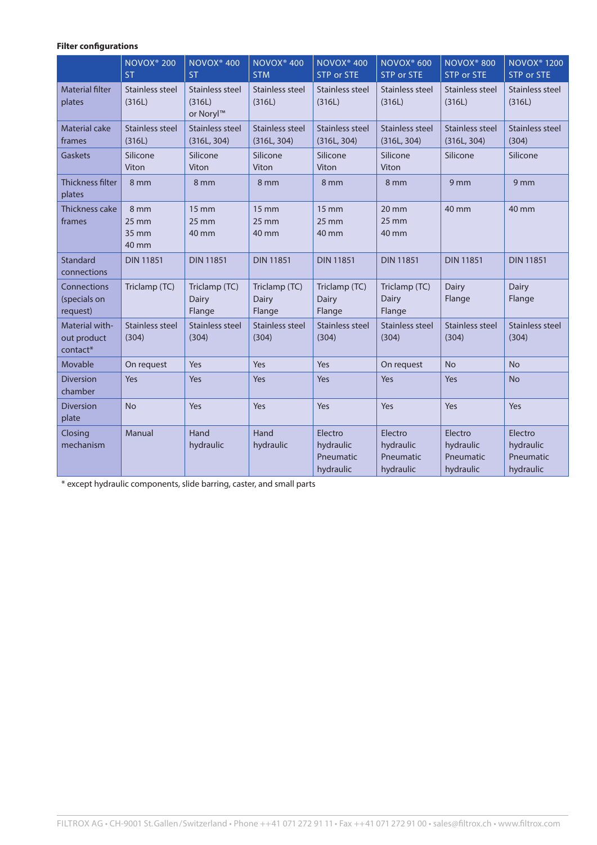## **Filter configurations**

|                                           | NOVOX <sup>®</sup> 200<br><b>ST</b>         | NOVOX <sup>®</sup> 400<br><b>ST</b>             | NOVOX <sup>®</sup> 400<br><b>STM</b>  | NOVOX <sup>®</sup> 400<br>STP or STE            | NOVOX <sup>®</sup> 600<br><b>STP or STE</b>     | NOVOX <sup>®</sup> 800<br><b>STP or STE</b>    | <b>NOVOX<sup>®</sup> 1200</b><br>STP or STE    |
|-------------------------------------------|---------------------------------------------|-------------------------------------------------|---------------------------------------|-------------------------------------------------|-------------------------------------------------|------------------------------------------------|------------------------------------------------|
| <b>Material filter</b><br>plates          | <b>Stainless steel</b><br>(316L)            | Stainless steel<br>(316L)<br>or Noryl™          | <b>Stainless steel</b><br>(316L)      | <b>Stainless steel</b><br>(316L)                | Stainless steel<br>(316L)                       | <b>Stainless steel</b><br>(316L)               | Stainless steel<br>(316L)                      |
| <b>Material cake</b><br>frames            | <b>Stainless steel</b><br>(316L)            | Stainless steel<br>(316L, 304)                  | <b>Stainless steel</b><br>(316L, 304) | <b>Stainless steel</b><br>(316L, 304)           | Stainless steel<br>(316L, 304)                  | Stainless steel<br>(316L, 304)                 | Stainless steel<br>(304)                       |
| <b>Gaskets</b>                            | Silicone<br>Viton                           | Silicone<br>Viton                               | Silicone<br>Viton                     | Silicone<br>Viton                               | Silicone<br>Viton                               | Silicone                                       | Silicone                                       |
| Thickness filter<br>plates                | 8 mm                                        | 8 mm                                            | 8 mm                                  | 8 mm                                            | 8 mm                                            | 9 mm                                           | 9 <sub>mm</sub>                                |
| Thickness cake<br>frames                  | 8 mm<br>$25 \, \text{mm}$<br>35 mm<br>40 mm | $15 \, \text{mm}$<br>$25 \, \text{mm}$<br>40 mm | 15 mm<br>$25 \, \text{mm}$<br>40 mm   | $15 \, \text{mm}$<br>$25 \, \text{mm}$<br>40 mm | $20 \, \text{mm}$<br>$25 \, \text{mm}$<br>40 mm | 40 mm                                          | 40 mm                                          |
| Standard<br>connections                   | <b>DIN 11851</b>                            | <b>DIN 11851</b>                                | <b>DIN 11851</b>                      | <b>DIN 11851</b>                                | <b>DIN 11851</b>                                | <b>DIN 11851</b>                               | <b>DIN 11851</b>                               |
| Connections<br>(specials on<br>request)   | Triclamp (TC)                               | Triclamp (TC)<br>Dairy<br>Flange                | Triclamp (TC)<br>Dairy<br>Flange      | Triclamp (TC)<br>Dairy<br>Flange                | Triclamp (TC)<br>Dairy<br>Flange                | Dairy<br>Flange                                | Dairy<br>Flange                                |
| Material with-<br>out product<br>contact* | Stainless steel<br>(304)                    | Stainless steel<br>(304)                        | Stainless steel<br>(304)              | Stainless steel<br>(304)                        | Stainless steel<br>(304)                        | Stainless steel<br>(304)                       | Stainless steel<br>(304)                       |
| Movable                                   | On request                                  | Yes                                             | Yes                                   | Yes                                             | On request                                      | <b>No</b>                                      | <b>No</b>                                      |
| <b>Diversion</b><br>chamber               | Yes                                         | Yes                                             | Yes                                   | Yes                                             | Yes                                             | Yes                                            | <b>No</b>                                      |
| <b>Diversion</b><br>plate                 | <b>No</b>                                   | Yes                                             | Yes                                   | Yes                                             | Yes                                             | Yes                                            | Yes                                            |
| Closing<br>mechanism                      | Manual                                      | Hand<br>hydraulic                               | Hand<br>hydraulic                     | Electro<br>hydraulic<br>Pneumatic<br>hydraulic  | Electro<br>hydraulic<br>Pneumatic<br>hydraulic  | Electro<br>hydraulic<br>Pneumatic<br>hydraulic | Electro<br>hydraulic<br>Pneumatic<br>hydraulic |

\* except hydraulic components, slide barring, caster, and small parts